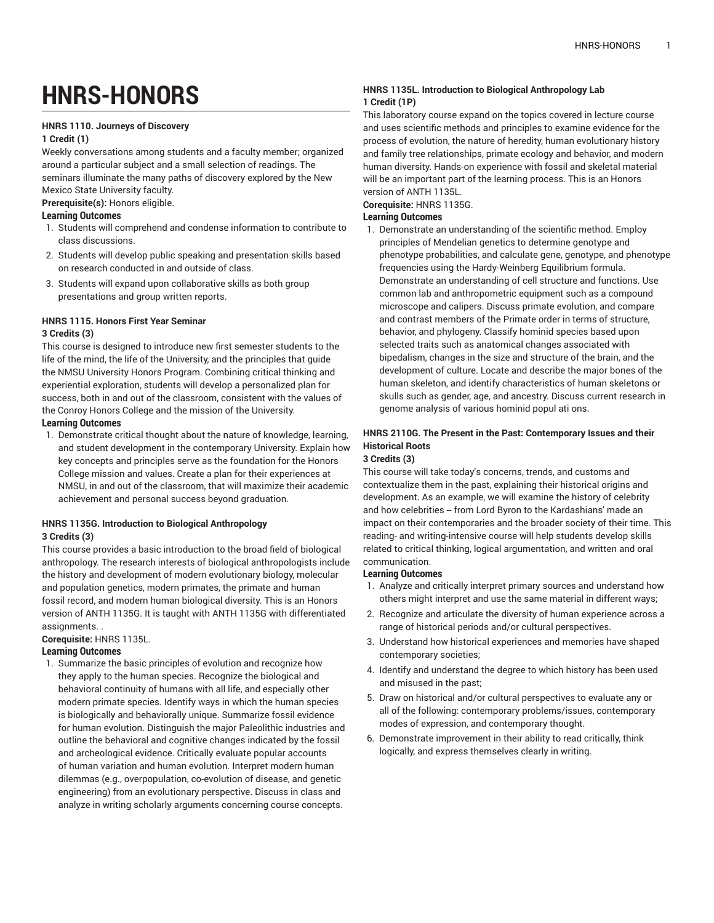# **HNRS-HONORS**

#### **HNRS 1110. Journeys of Discovery**

#### **1 Credit (1)**

Weekly conversations among students and a faculty member; organized around a particular subject and a small selection of readings. The seminars illuminate the many paths of discovery explored by the New Mexico State University faculty. **Prerequisite(s):** Honors eligible.

### **Learning Outcomes**

- 1. Students will comprehend and condense information to contribute to class discussions.
- 2. Students will develop public speaking and presentation skills based on research conducted in and outside of class.
- 3. Students will expand upon collaborative skills as both group presentations and group written reports.

### **HNRS 1115. Honors First Year Seminar**

#### **3 Credits (3)**

This course is designed to introduce new first semester students to the life of the mind, the life of the University, and the principles that guide the NMSU University Honors Program. Combining critical thinking and experiential exploration, students will develop a personalized plan for success, both in and out of the classroom, consistent with the values of the Conroy Honors College and the mission of the University.

#### **Learning Outcomes**

1. Demonstrate critical thought about the nature of knowledge, learning, and student development in the contemporary University. Explain how key concepts and principles serve as the foundation for the Honors College mission and values. Create a plan for their experiences at NMSU, in and out of the classroom, that will maximize their academic achievement and personal success beyond graduation.

#### **HNRS 1135G. Introduction to Biological Anthropology 3 Credits (3)**

This course provides a basic introduction to the broad field of biological anthropology. The research interests of biological anthropologists include the history and development of modern evolutionary biology, molecular and population genetics, modern primates, the primate and human fossil record, and modern human biological diversity. This is an Honors version of ANTH 1135G. It is taught with ANTH 1135G with differentiated assignments. .

#### **Corequisite:** HNRS 1135L.

#### **Learning Outcomes**

1. Summarize the basic principles of evolution and recognize how they apply to the human species. Recognize the biological and behavioral continuity of humans with all life, and especially other modern primate species. Identify ways in which the human species is biologically and behaviorally unique. Summarize fossil evidence for human evolution. Distinguish the major Paleolithic industries and outline the behavioral and cognitive changes indicated by the fossil and archeological evidence. Critically evaluate popular accounts of human variation and human evolution. Interpret modern human dilemmas (e.g., overpopulation, co-evolution of disease, and genetic engineering) from an evolutionary perspective. Discuss in class and analyze in writing scholarly arguments concerning course concepts.

#### **HNRS 1135L. Introduction to Biological Anthropology Lab 1 Credit (1P)**

This laboratory course expand on the topics covered in lecture course and uses scientific methods and principles to examine evidence for the process of evolution, the nature of heredity, human evolutionary history and family tree relationships, primate ecology and behavior, and modern human diversity. Hands-on experience with fossil and skeletal material will be an important part of the learning process. This is an Honors version of ANTH 1135L.

#### **Corequisite:** HNRS 1135G.

#### **Learning Outcomes**

1. Demonstrate an understanding of the scientific method. Employ principles of Mendelian genetics to determine genotype and phenotype probabilities, and calculate gene, genotype, and phenotype frequencies using the Hardy-Weinberg Equilibrium formula. Demonstrate an understanding of cell structure and functions. Use common lab and anthropometric equipment such as a compound microscope and calipers. Discuss primate evolution, and compare and contrast members of the Primate order in terms of structure, behavior, and phylogeny. Classify hominid species based upon selected traits such as anatomical changes associated with bipedalism, changes in the size and structure of the brain, and the development of culture. Locate and describe the major bones of the human skeleton, and identify characteristics of human skeletons or skulls such as gender, age, and ancestry. Discuss current research in genome analysis of various hominid popul ati ons.

#### **HNRS 2110G. The Present in the Past: Contemporary Issues and their Historical Roots**

#### **3 Credits (3)**

This course will take today's concerns, trends, and customs and contextualize them in the past, explaining their historical origins and development. As an example, we will examine the history of celebrity and how celebrities -- from Lord Byron to the Kardashians' made an impact on their contemporaries and the broader society of their time. This reading- and writing-intensive course will help students develop skills related to critical thinking, logical argumentation, and written and oral communication.

- 1. Analyze and critically interpret primary sources and understand how others might interpret and use the same material in different ways;
- 2. Recognize and articulate the diversity of human experience across a range of historical periods and/or cultural perspectives.
- 3. Understand how historical experiences and memories have shaped contemporary societies;
- 4. Identify and understand the degree to which history has been used and misused in the past;
- 5. Draw on historical and/or cultural perspectives to evaluate any or all of the following: contemporary problems/issues, contemporary modes of expression, and contemporary thought.
- 6. Demonstrate improvement in their ability to read critically, think logically, and express themselves clearly in writing.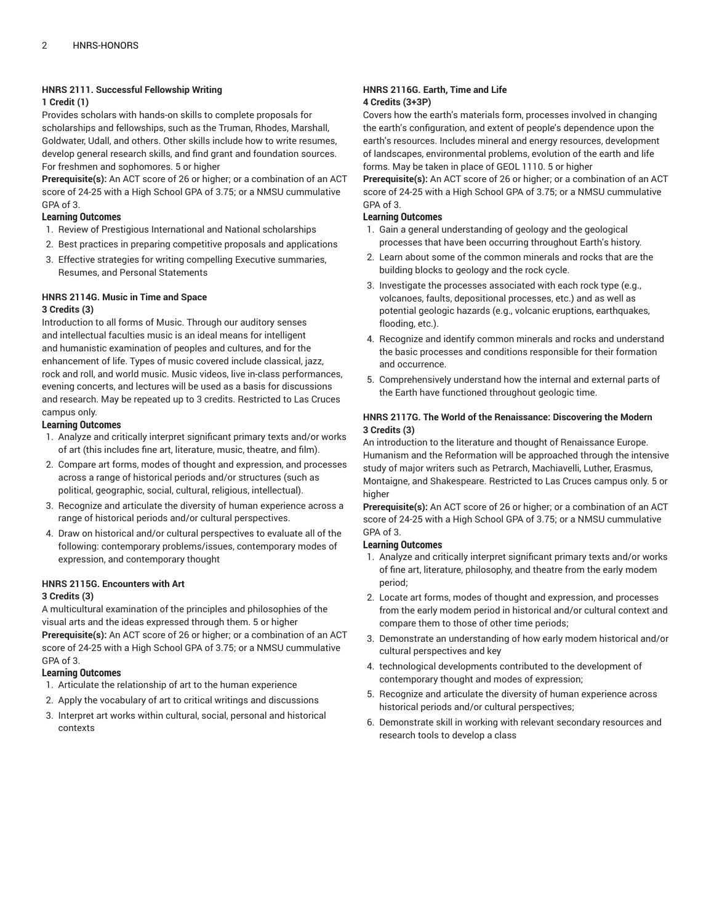#### **HNRS 2111. Successful Fellowship Writing**

#### **1 Credit (1)**

Provides scholars with hands-on skills to complete proposals for scholarships and fellowships, such as the Truman, Rhodes, Marshall, Goldwater, Udall, and others. Other skills include how to write resumes, develop general research skills, and find grant and foundation sources. For freshmen and sophomores. 5 or higher

**Prerequisite(s):** An ACT score of 26 or higher; or a combination of an ACT score of 24-25 with a High School GPA of 3.75; or a NMSU cummulative GPA of 3.

#### **Learning Outcomes**

- 1. Review of Prestigious International and National scholarships
- 2. Best practices in preparing competitive proposals and applications
- 3. Effective strategies for writing compelling Executive summaries, Resumes, and Personal Statements

### **HNRS 2114G. Music in Time and Space**

#### **3 Credits (3)**

Introduction to all forms of Music. Through our auditory senses and intellectual faculties music is an ideal means for intelligent and humanistic examination of peoples and cultures, and for the enhancement of life. Types of music covered include classical, jazz, rock and roll, and world music. Music videos, live in-class performances, evening concerts, and lectures will be used as a basis for discussions and research. May be repeated up to 3 credits. Restricted to Las Cruces campus only.

#### **Learning Outcomes**

- 1. Analyze and critically interpret significant primary texts and/or works of art (this includes fine art, literature, music, theatre, and film).
- 2. Compare art forms, modes of thought and expression, and processes across a range of historical periods and/or structures (such as political, geographic, social, cultural, religious, intellectual).
- 3. Recognize and articulate the diversity of human experience across a range of historical periods and/or cultural perspectives.
- 4. Draw on historical and/or cultural perspectives to evaluate all of the following: contemporary problems/issues, contemporary modes of expression, and contemporary thought

### **HNRS 2115G. Encounters with Art**

#### **3 Credits (3)**

A multicultural examination of the principles and philosophies of the visual arts and the ideas expressed through them. 5 or higher **Prerequisite(s):** An ACT score of 26 or higher; or a combination of an ACT score of 24-25 with a High School GPA of 3.75; or a NMSU cummulative GPA of 3.

#### **Learning Outcomes**

- 1. Articulate the relationship of art to the human experience
- 2. Apply the vocabulary of art to critical writings and discussions
- 3. Interpret art works within cultural, social, personal and historical contexts

#### **HNRS 2116G. Earth, Time and Life 4 Credits (3+3P)**

Covers how the earth's materials form, processes involved in changing the earth's configuration, and extent of people's dependence upon the earth's resources. Includes mineral and energy resources, development of landscapes, environmental problems, evolution of the earth and life forms. May be taken in place of GEOL 1110. 5 or higher

**Prerequisite(s):** An ACT score of 26 or higher; or a combination of an ACT score of 24-25 with a High School GPA of 3.75; or a NMSU cummulative GPA of 3.

#### **Learning Outcomes**

- 1. Gain a general understanding of geology and the geological processes that have been occurring throughout Earth's history.
- 2. Learn about some of the common minerals and rocks that are the building blocks to geology and the rock cycle.
- 3. Investigate the processes associated with each rock type (e.g., volcanoes, faults, depositional processes, etc.) and as well as potential geologic hazards (e.g., volcanic eruptions, earthquakes, flooding, etc.).
- 4. Recognize and identify common minerals and rocks and understand the basic processes and conditions responsible for their formation and occurrence.
- 5. Comprehensively understand how the internal and external parts of the Earth have functioned throughout geologic time.

#### **HNRS 2117G. The World of the Renaissance: Discovering the Modern 3 Credits (3)**

An introduction to the literature and thought of Renaissance Europe. Humanism and the Reformation will be approached through the intensive study of major writers such as Petrarch, Machiavelli, Luther, Erasmus, Montaigne, and Shakespeare. Restricted to Las Cruces campus only. 5 or higher

**Prerequisite(s):** An ACT score of 26 or higher; or a combination of an ACT score of 24-25 with a High School GPA of 3.75; or a NMSU cummulative GPA of 3.

- 1. Analyze and critically interpret significant primary texts and/or works of fine art, literature, philosophy, and theatre from the early modem period;
- 2. Locate art forms, modes of thought and expression, and processes from the early modem period in historical and/or cultural context and compare them to those of other time periods;
- 3. Demonstrate an understanding of how early modem historical and/or cultural perspectives and key
- 4. technological developments contributed to the development of contemporary thought and modes of expression;
- 5. Recognize and articulate the diversity of human experience across historical periods and/or cultural perspectives;
- 6. Demonstrate skill in working with relevant secondary resources and research tools to develop a class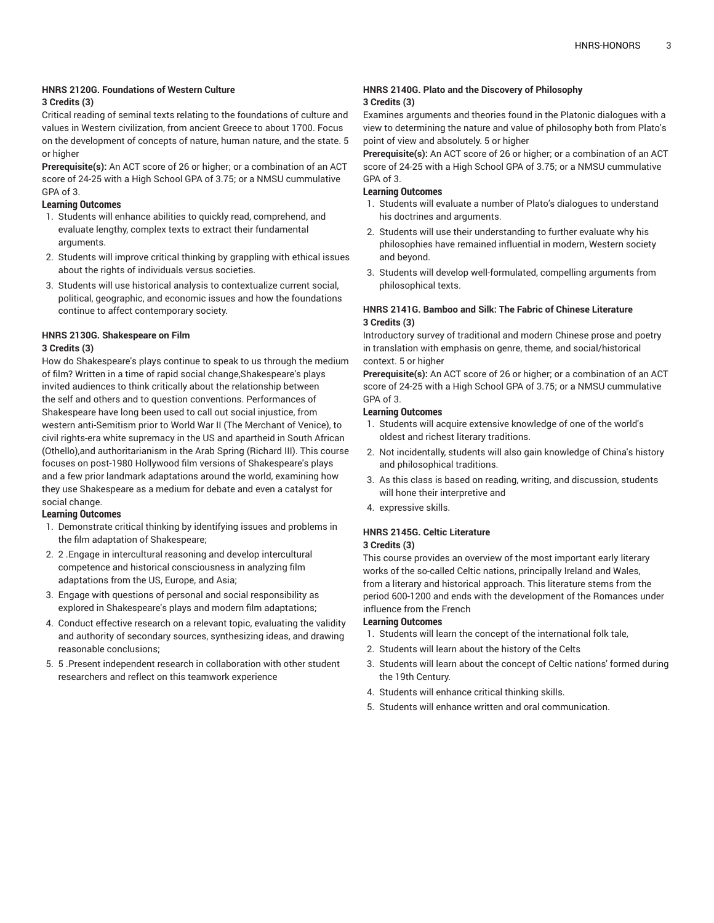#### **HNRS 2120G. Foundations of Western Culture**

#### **3 Credits (3)**

Critical reading of seminal texts relating to the foundations of culture and values in Western civilization, from ancient Greece to about 1700. Focus on the development of concepts of nature, human nature, and the state. 5 or higher

**Prerequisite(s):** An ACT score of 26 or higher; or a combination of an ACT score of 24-25 with a High School GPA of 3.75; or a NMSU cummulative GPA of 3.

#### **Learning Outcomes**

- 1. Students will enhance abilities to quickly read, comprehend, and evaluate lengthy, complex texts to extract their fundamental arguments.
- 2. Students will improve critical thinking by grappling with ethical issues about the rights of individuals versus societies.
- 3. Students will use historical analysis to contextualize current social, political, geographic, and economic issues and how the foundations continue to affect contemporary society.

### **HNRS 2130G. Shakespeare on Film**

#### **3 Credits (3)**

How do Shakespeare's plays continue to speak to us through the medium of film? Written in a time of rapid social change,Shakespeare's plays invited audiences to think critically about the relationship between the self and others and to question conventions. Performances of Shakespeare have long been used to call out social injustice, from western anti-Semitism prior to World War II (The Merchant of Venice), to civil rights-era white supremacy in the US and apartheid in South African (Othello),and authoritarianism in the Arab Spring (Richard III). This course focuses on post-1980 Hollywood film versions of Shakespeare's plays and a few prior landmark adaptations around the world, examining how they use Shakespeare as a medium for debate and even a catalyst for social change.

#### **Learning Outcomes**

- 1. Demonstrate critical thinking by identifying issues and problems in the film adaptation of Shakespeare;
- 2. 2 .Engage in intercultural reasoning and develop intercultural competence and historical consciousness in analyzing film adaptations from the US, Europe, and Asia;
- 3. Engage with questions of personal and social responsibility as explored in Shakespeare's plays and modern film adaptations;
- 4. Conduct effective research on a relevant topic, evaluating the validity and authority of secondary sources, synthesizing ideas, and drawing reasonable conclusions;
- 5. 5 .Present independent research in collaboration with other student researchers and reflect on this teamwork experience

#### **HNRS 2140G. Plato and the Discovery of Philosophy 3 Credits (3)**

Examines arguments and theories found in the Platonic dialogues with a view to determining the nature and value of philosophy both from Plato's point of view and absolutely. 5 or higher

**Prerequisite(s):** An ACT score of 26 or higher; or a combination of an ACT score of 24-25 with a High School GPA of 3.75; or a NMSU cummulative GPA of 3.

#### **Learning Outcomes**

- 1. Students will evaluate a number of Plato's dialogues to understand his doctrines and arguments.
- 2. Students will use their understanding to further evaluate why his philosophies have remained influential in modern, Western society and beyond.
- 3. Students will develop well-formulated, compelling arguments from philosophical texts.

#### **HNRS 2141G. Bamboo and Silk: The Fabric of Chinese Literature 3 Credits (3)**

Introductory survey of traditional and modern Chinese prose and poetry in translation with emphasis on genre, theme, and social/historical context. 5 or higher

**Prerequisite(s):** An ACT score of 26 or higher; or a combination of an ACT score of 24-25 with a High School GPA of 3.75; or a NMSU cummulative GPA of 3.

#### **Learning Outcomes**

- 1. Students will acquire extensive knowledge of one of the world's oldest and richest literary traditions.
- 2. Not incidentally, students will also gain knowledge of China's history and philosophical traditions.
- 3. As this class is based on reading, writing, and discussion, students will hone their interpretive and
- 4. expressive skills.

#### **HNRS 2145G. Celtic Literature**

#### **3 Credits (3)**

This course provides an overview of the most important early literary works of the so-called Celtic nations, principally Ireland and Wales, from a literary and historical approach. This literature stems from the period 600-1200 and ends with the development of the Romances under influence from the French

- 1. Students will learn the concept of the international folk tale,
- 2. Students will learn about the history of the Celts
- 3. Students will learn about the concept of Celtic nations' formed during the 19th Century.
- 4. Students will enhance critical thinking skills.
- 5. Students will enhance written and oral communication.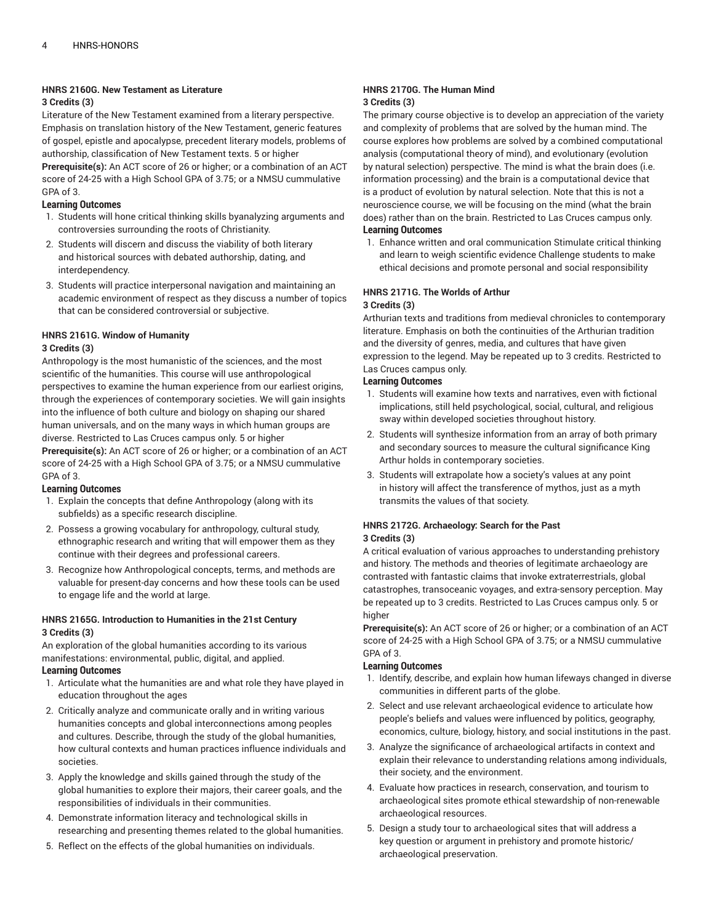#### **HNRS 2160G. New Testament as Literature**

#### **3 Credits (3)**

Literature of the New Testament examined from a literary perspective. Emphasis on translation history of the New Testament, generic features of gospel, epistle and apocalypse, precedent literary models, problems of authorship, classification of New Testament texts. 5 or higher **Prerequisite(s):** An ACT score of 26 or higher; or a combination of an ACT score of 24-25 with a High School GPA of 3.75; or a NMSU cummulative GPA of 3.

#### **Learning Outcomes**

- 1. Students will hone critical thinking skills byanalyzing arguments and controversies surrounding the roots of Christianity.
- 2. Students will discern and discuss the viability of both literary and historical sources with debated authorship, dating, and interdependency.
- 3. Students will practice interpersonal navigation and maintaining an academic environment of respect as they discuss a number of topics that can be considered controversial or subjective.

### **HNRS 2161G. Window of Humanity**

#### **3 Credits (3)**

Anthropology is the most humanistic of the sciences, and the most scientific of the humanities. This course will use anthropological perspectives to examine the human experience from our earliest origins, through the experiences of contemporary societies. We will gain insights into the influence of both culture and biology on shaping our shared human universals, and on the many ways in which human groups are diverse. Restricted to Las Cruces campus only. 5 or higher

**Prerequisite(s):** An ACT score of 26 or higher; or a combination of an ACT score of 24-25 with a High School GPA of 3.75; or a NMSU cummulative GPA of 3.

#### **Learning Outcomes**

- 1. Explain the concepts that define Anthropology (along with its subfields) as a specific research discipline.
- 2. Possess a growing vocabulary for anthropology, cultural study, ethnographic research and writing that will empower them as they continue with their degrees and professional careers.
- 3. Recognize how Anthropological concepts, terms, and methods are valuable for present-day concerns and how these tools can be used to engage life and the world at large.

#### **HNRS 2165G. Introduction to Humanities in the 21st Century 3 Credits (3)**

An exploration of the global humanities according to its various manifestations: environmental, public, digital, and applied. **Learning Outcomes**

#### 1. Articulate what the humanities are and what role they have played in education throughout the ages

- 2. Critically analyze and communicate orally and in writing various humanities concepts and global interconnections among peoples and cultures. Describe, through the study of the global humanities, how cultural contexts and human practices influence individuals and societies.
- 3. Apply the knowledge and skills gained through the study of the global humanities to explore their majors, their career goals, and the responsibilities of individuals in their communities.
- 4. Demonstrate information literacy and technological skills in researching and presenting themes related to the global humanities.
- 5. Reflect on the effects of the global humanities on individuals.

#### **HNRS 2170G. The Human Mind 3 Credits (3)**

The primary course objective is to develop an appreciation of the variety and complexity of problems that are solved by the human mind. The course explores how problems are solved by a combined computational analysis (computational theory of mind), and evolutionary (evolution by natural selection) perspective. The mind is what the brain does (i.e. information processing) and the brain is a computational device that is a product of evolution by natural selection. Note that this is not a neuroscience course, we will be focusing on the mind (what the brain does) rather than on the brain. Restricted to Las Cruces campus only. **Learning Outcomes**

1. Enhance written and oral communication Stimulate critical thinking and learn to weigh scientific evidence Challenge students to make ethical decisions and promote personal and social responsibility

#### **HNRS 2171G. The Worlds of Arthur 3 Credits (3)**

Arthurian texts and traditions from medieval chronicles to contemporary literature. Emphasis on both the continuities of the Arthurian tradition and the diversity of genres, media, and cultures that have given expression to the legend. May be repeated up to 3 credits. Restricted to Las Cruces campus only.

#### **Learning Outcomes**

- 1. Students will examine how texts and narratives, even with fictional implications, still held psychological, social, cultural, and religious sway within developed societies throughout history.
- 2. Students will synthesize information from an array of both primary and secondary sources to measure the cultural significance King Arthur holds in contemporary societies.
- 3. Students will extrapolate how a society's values at any point in history will affect the transference of mythos, just as a myth transmits the values of that society.

## **HNRS 2172G. Archaeology: Search for the Past**

#### **3 Credits (3)**

A critical evaluation of various approaches to understanding prehistory and history. The methods and theories of legitimate archaeology are contrasted with fantastic claims that invoke extraterrestrials, global catastrophes, transoceanic voyages, and extra-sensory perception. May be repeated up to 3 credits. Restricted to Las Cruces campus only. 5 or higher

**Prerequisite(s):** An ACT score of 26 or higher; or a combination of an ACT score of 24-25 with a High School GPA of 3.75; or a NMSU cummulative GPA of 3.

- 1. Identify, describe, and explain how human lifeways changed in diverse communities in different parts of the globe.
- 2. Select and use relevant archaeological evidence to articulate how people's beliefs and values were influenced by politics, geography, economics, culture, biology, history, and social institutions in the past.
- 3. Analyze the significance of archaeological artifacts in context and explain their relevance to understanding relations among individuals, their society, and the environment.
- 4. Evaluate how practices in research, conservation, and tourism to archaeological sites promote ethical stewardship of non-renewable archaeological resources.
- 5. Design a study tour to archaeological sites that will address a key question or argument in prehistory and promote historic/ archaeological preservation.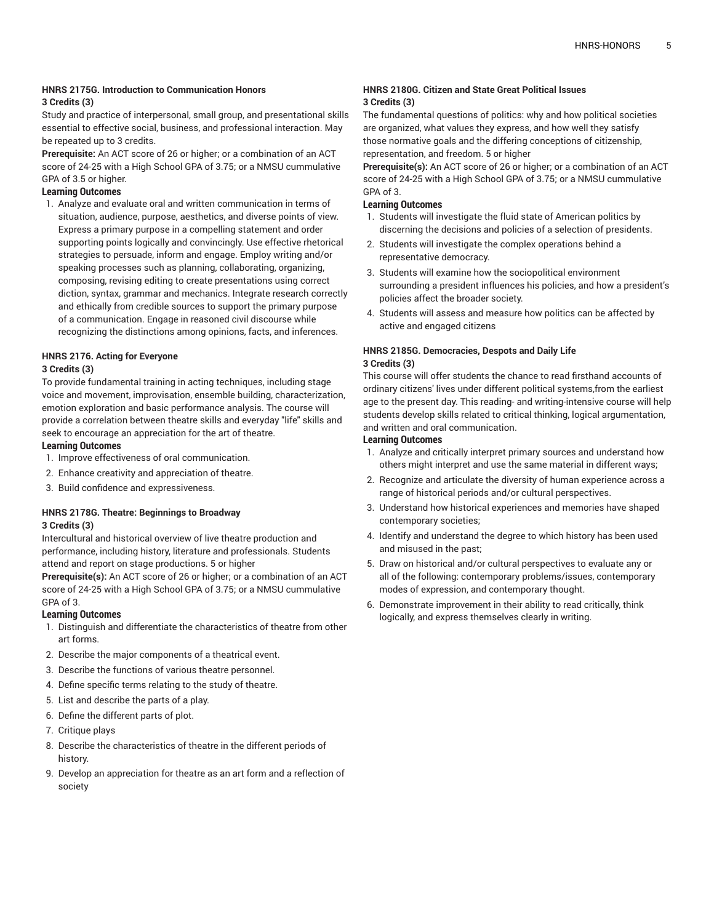#### **HNRS 2175G. Introduction to Communication Honors 3 Credits (3)**

Study and practice of interpersonal, small group, and presentational skills essential to effective social, business, and professional interaction. May be repeated up to 3 credits.

**Prerequisite:** An ACT score of 26 or higher; or a combination of an ACT score of 24-25 with a High School GPA of 3.75; or a NMSU cummulative GPA of 3.5 or higher.

- **Learning Outcomes**
- 1. Analyze and evaluate oral and written communication in terms of situation, audience, purpose, aesthetics, and diverse points of view. Express a primary purpose in a compelling statement and order supporting points logically and convincingly. Use effective rhetorical strategies to persuade, inform and engage. Employ writing and/or speaking processes such as planning, collaborating, organizing, composing, revising editing to create presentations using correct diction, syntax, grammar and mechanics. Integrate research correctly and ethically from credible sources to support the primary purpose of a communication. Engage in reasoned civil discourse while recognizing the distinctions among opinions, facts, and inferences.

#### **HNRS 2176. Acting for Everyone 3 Credits (3)**

To provide fundamental training in acting techniques, including stage voice and movement, improvisation, ensemble building, characterization, emotion exploration and basic performance analysis. The course will provide a correlation between theatre skills and everyday "life" skills and seek to encourage an appreciation for the art of theatre. **Learning Outcomes**

- 1. Improve effectiveness of oral communication.
- 2. Enhance creativity and appreciation of theatre.
- 3. Build confidence and expressiveness.

#### **HNRS 2178G. Theatre: Beginnings to Broadway 3 Credits (3)**

Intercultural and historical overview of live theatre production and performance, including history, literature and professionals. Students attend and report on stage productions. 5 or higher

**Prerequisite(s):** An ACT score of 26 or higher; or a combination of an ACT score of 24-25 with a High School GPA of 3.75; or a NMSU cummulative GPA of 3.

### **Learning Outcomes**

- 1. Distinguish and differentiate the characteristics of theatre from other art forms.
- 2. Describe the major components of a theatrical event.
- 3. Describe the functions of various theatre personnel.
- 4. Define specific terms relating to the study of theatre.
- 5. List and describe the parts of a play.
- 6. Define the different parts of plot.
- 7. Critique plays
- 8. Describe the characteristics of theatre in the different periods of history.
- 9. Develop an appreciation for theatre as an art form and a reflection of society

#### **HNRS 2180G. Citizen and State Great Political Issues 3 Credits (3)**

The fundamental questions of politics: why and how political societies are organized, what values they express, and how well they satisfy those normative goals and the differing conceptions of citizenship, representation, and freedom. 5 or higher

**Prerequisite(s):** An ACT score of 26 or higher; or a combination of an ACT score of 24-25 with a High School GPA of 3.75; or a NMSU cummulative GPA of 3.

#### **Learning Outcomes**

- 1. Students will investigate the fluid state of American politics by discerning the decisions and policies of a selection of presidents.
- 2. Students will investigate the complex operations behind a representative democracy.
- 3. Students will examine how the sociopolitical environment surrounding a president influences his policies, and how a president's policies affect the broader society.
- 4. Students will assess and measure how politics can be affected by active and engaged citizens

#### **HNRS 2185G. Democracies, Despots and Daily Life 3 Credits (3)**

This course will offer students the chance to read firsthand accounts of ordinary citizens' lives under different political systems,from the earliest age to the present day. This reading- and writing-intensive course will help students develop skills related to critical thinking, logical argumentation, and written and oral communication.

- 1. Analyze and critically interpret primary sources and understand how others might interpret and use the same material in different ways;
- 2. Recognize and articulate the diversity of human experience across a range of historical periods and/or cultural perspectives.
- 3. Understand how historical experiences and memories have shaped contemporary societies;
- 4. Identify and understand the degree to which history has been used and misused in the past;
- 5. Draw on historical and/or cultural perspectives to evaluate any or all of the following: contemporary problems/issues, contemporary modes of expression, and contemporary thought.
- 6. Demonstrate improvement in their ability to read critically, think logically, and express themselves clearly in writing.